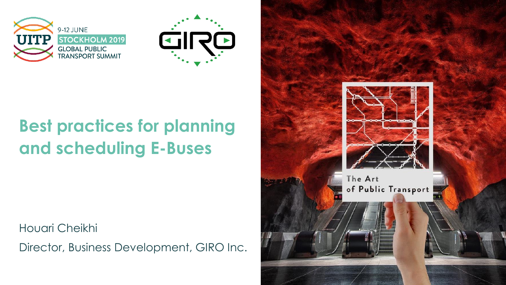



### **Best practices for planning and scheduling E-Buses**

Houari Cheikhi

Director, Business Development, GIRO Inc.

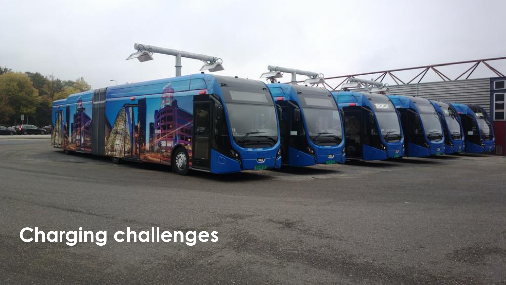**Charging challenges**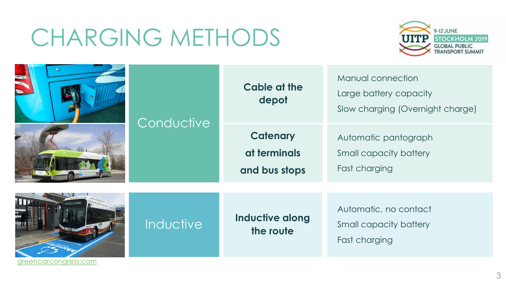### CHARGING METHODS



|                                    |            | Cable at the<br>depot                            | Manual connection<br>Large battery capacity<br>Slow charging (Overnight charge) |
|------------------------------------|------------|--------------------------------------------------|---------------------------------------------------------------------------------|
|                                    | Conductive | <b>Catenary</b><br>at terminals<br>and bus stops | Automatic pantograph<br>Small capacity battery<br>Fast charging                 |
| <b>HIV</b><br>areencarconaress.com | Inductive  | <b>Inductive along</b><br>the route              | Automatic, no contact<br>Small capacity battery<br>Fast charging                |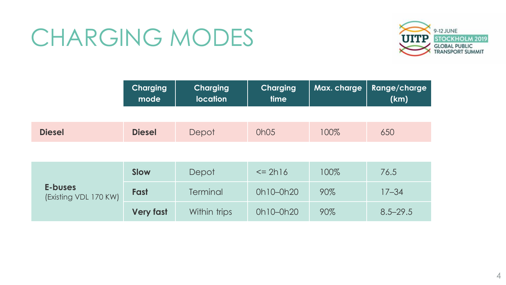### CHARGING MODES



|                                  | <b>Charging</b><br>mode | <b>Charging</b><br><b>location</b> | <b>Charging</b><br>time | Max. charge | Range/charge<br>(km) |
|----------------------------------|-------------------------|------------------------------------|-------------------------|-------------|----------------------|
|                                  |                         |                                    |                         |             |                      |
| <b>Diesel</b>                    | <b>Diesel</b>           | Depot                              | 0h05                    | 100%        | 650                  |
|                                  |                         |                                    |                         |             |                      |
| E-buses<br>(Existing VDL 170 KW) | <b>Slow</b>             | Depot                              | $\le$ 2h16              | 100%        | 76.5                 |
|                                  | Fast                    | Terminal                           | 0h10-0h20               | 90%         | $17 - 34$            |
|                                  | <b>Very fast</b>        | Within trips                       | 0h10-0h20               | 90%         | $8.5 - 29.5$         |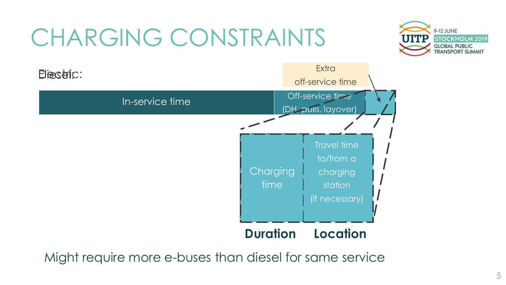# CHARGING CONSTRAINTS





Might require more e-buses than diesel for same service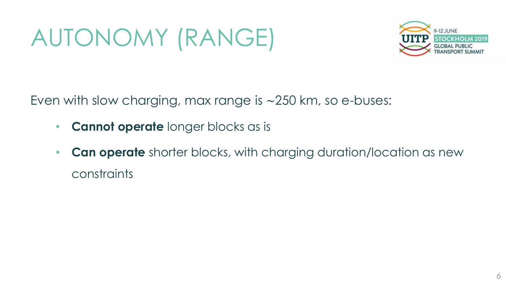# AUTONOMY (RANGE)



Even with slow charging, max range is ∼250 km, so e-buses:

- **Cannot operate** longer blocks as is
- **Can operate** shorter blocks, with charging duration/location as new constraints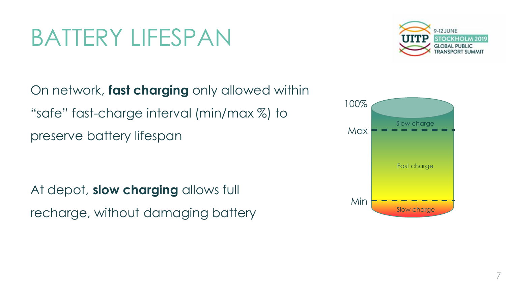### BATTERY LIFESPAN



On network, **fast charging** only allowed within "safe" fast-charge interval (min/max %) to preserve battery lifespan

At depot, **slow charging** allows full recharge, without damaging battery

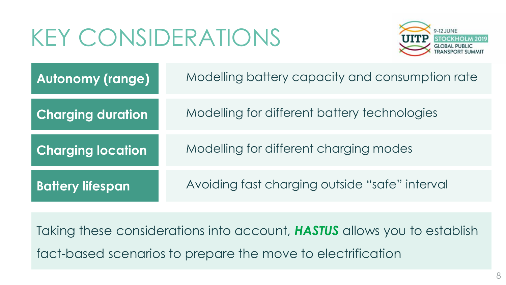## KEY CONSIDERATIONS



| <b>Autonomy (range)</b>  | Modelling battery capacity and consumption rate |
|--------------------------|-------------------------------------------------|
| <b>Charging duration</b> | Modelling for different battery technologies    |
| <b>Charging location</b> | Modelling for different charging modes          |
| <b>Battery lifespan</b>  | Avoiding fast charging outside "safe" interval  |

Taking these considerations into account, *HASTUS* allows you to establish fact-based scenarios to prepare the move to electrification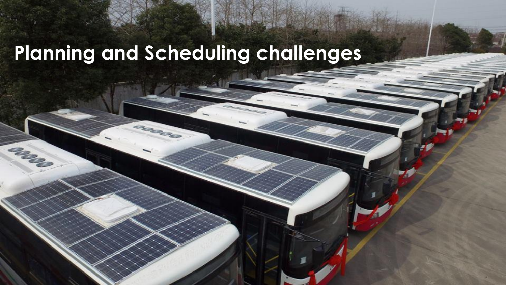### **Planning and Scheduling challenges**

ances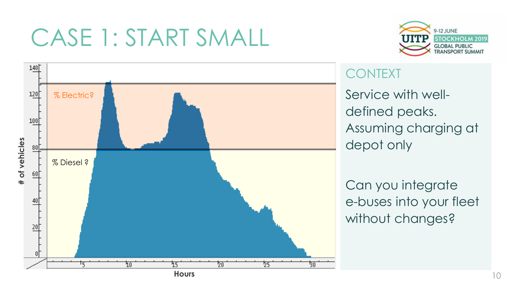



#### **CONTEXT**

Service with welldefined peaks. Assuming charging at depot only

Can you integrate e-buses into your fleet without changes?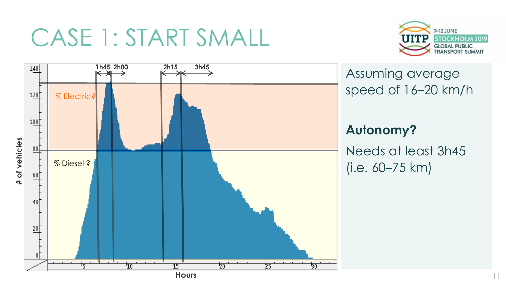

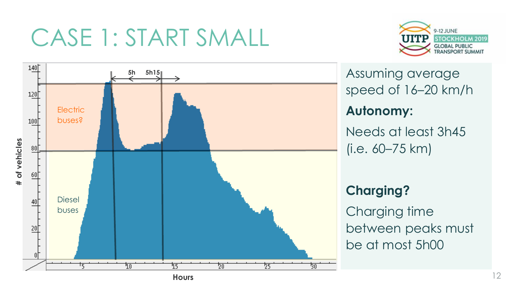



Assuming average speed of 16–20 km/h **Autonomy:**  Needs at least 3h45 (i.e. 60–75 km)

#### **Charging?**

Charging time between peaks must be at most 5h00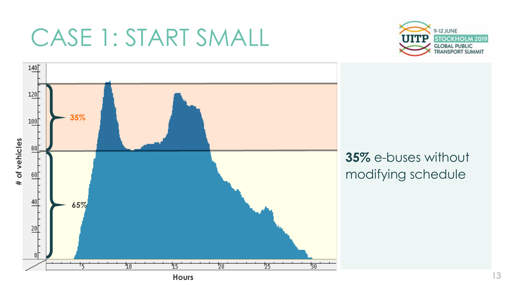



**35%** e-buses without modifying schedule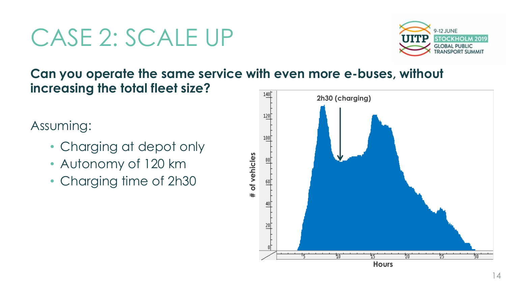### CASE 2: SCALE UP



#### **Can you operate the same service with even more e-buses, without increasing the total fleet size?**  $140<sup>†</sup>$

### Assuming:

- Charging at depot only
- Autonomy of 120 km
- Charging time of 2h30

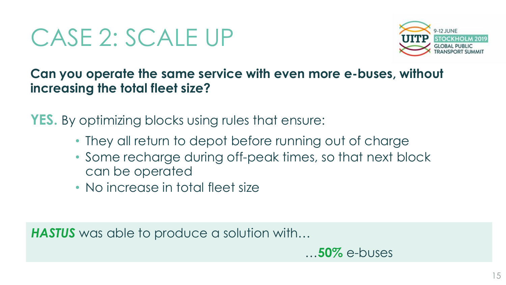### CASE 2: SCALE UP



**Can you operate the same service with even more e-buses, without increasing the total fleet size?**

**YES.** By optimizing blocks using rules that ensure:

- They all return to depot before running out of charge
- Some recharge during off-peak times, so that next block can be operated
- No increase in total fleet size

**HASTUS** was able to produce a solution with...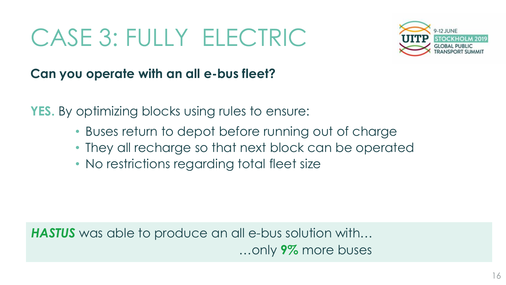## CASE 3: FULLY ELECTRIC



#### **Can you operate with an all e-bus fleet?**

**YES.** By optimizing blocks using rules to ensure:

- Buses return to depot before running out of charge
- They all recharge so that next block can be operated
- No restrictions regarding total fleet size

**HASTUS** was able to produce an all e-bus solution with... …only **9%** more buses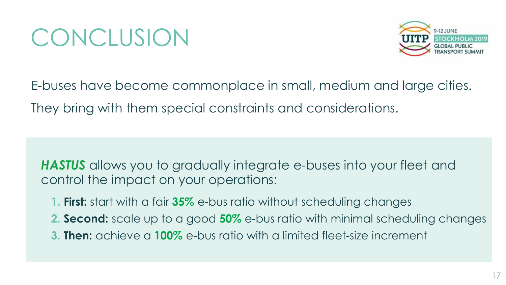### **CONCLUSION**



E-buses have become commonplace in small, medium and large cities. They bring with them special constraints and considerations.

*HASTUS* allows you to gradually integrate e-buses into your fleet and control the impact on your operations:

- **1. First:** start with a fair **35%** e-bus ratio without scheduling changes
- **2. Second:** scale up to a good **50%** e-bus ratio with minimal scheduling changes
- **3. Then:** achieve a **100%** e-bus ratio with a limited fleet-size increment